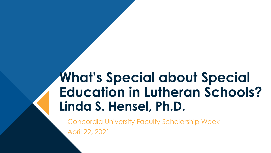## **What's Special about Special Education in Lutheran Schools? Linda S. Hensel, Ph.D.**

Concordia University Faculty Scholarship Week April 22, 2021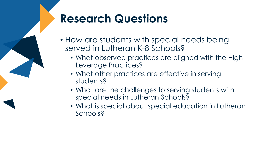#### **Research Questions**

- How are students with special needs being served in Lutheran K-8 Schools?
	- What observed practices are aligned with the High Leverage Practices?
	- What other practices are effective in serving students?
	- What are the challenges to serving students with special needs in Lutheran Schools?
	- What is special about special education in Lutheran Schools?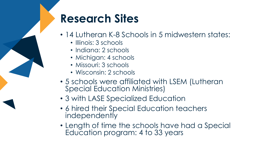#### **Research Sites**

- 14 Lutheran K-8 Schools in 5 midwestern states:
	- Illinois: 3 schools
	- Indiana: 2 schools
	- Michigan: 4 schools
	- Missouri: 3 schools
	- Wisconsin: 2 schools
- 5 schools were affiliated with LSEM (Lutheran Special Education Ministries)
- 3 with LASE Specialized Education
- 6 hired their Special Education teachers independently
- Length of time the schools have had a Special Education program: 4 to 33 years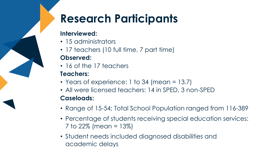## **Research Participants**

#### **Interviewed:**

- 15 administrators
- 17 teachers (10 full time, 7 part time)

#### **Observed:**

• 16 of the 17 teachers

#### **Teachers:**

- Years of experience: 1 to 34 (mean = 13.7)
- All were licensed teachers: 14 in SPED, 3 non-SPED **Caseloads:**
- Range of 15-54; Total School Population ranged from 116-389
- Percentage of students receiving special education services: 7 to 22% (mean = 13%)
- Student needs included diagnosed disabilities and academic delays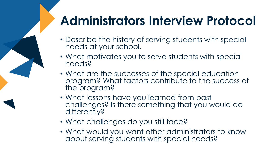# **Administrators Interview Protocol**

- Describe the history of serving students with special needs at your school.
- What motivates you to serve students with special needs?
- What are the successes of the special education program? What factors contribute to the success of the program?
- What lessons have you learned from past challenges? Is there something that you would do differently?
- What challenges do you still face?
- What would you want other administrators to know about serving students with special needs?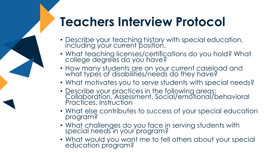## **Teachers Interview Protocol**

- Describe your teaching history with special education, including your current position.
- What teaching licenses/certifications do you hold? What college degrees do you have?
- How many students are on your current caseload and what types of disabilities/needs do they have?
- What motivates you to serve students with special needs?
- Describe your practices in the following areas: Collaboration, Assessment, Social/emotional/behavioral Practices, Instruction
- What else contributes to success of your special education program?
- What challenges do you face in serving students with special needs in your program?
- What would you want me to tell others about your special education program?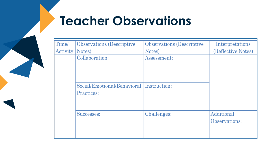## **Teacher Observations**

| Time/    | <b>Observations</b> (Descriptive                              | <b>Observations</b> (Descriptive | Interpretations             |
|----------|---------------------------------------------------------------|----------------------------------|-----------------------------|
| Activity | Notes)                                                        | Notes)                           | (Reflective Notes)          |
|          | Collaboration:                                                | Assessment:                      |                             |
|          |                                                               |                                  |                             |
|          | Social/Emotional/Behavioral Instruction:<br><b>Practices:</b> |                                  |                             |
|          | Successes:                                                    | Challenges:                      | Additional<br>Observations: |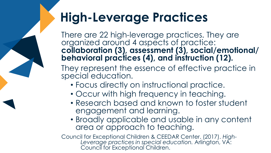## **High-Leverage Practices**

There are 22 high-leverage practices. They are organized around 4 aspects of practice: **collaboration (3), assessment (3), social/emotional/ behavioral practices (4), and instruction (12).**

They represent the essence of effective practice in special education.

- Focus directly on instructional practice.
- Occur with high frequency in teaching.
- Research based and known to foster student engagement and learning.
- Broadly applicable and usable in any content area or approach to teaching.

Council for Exceptional Children & CEEDAR Center. (2017). *High-Leverage practices in special education.* Arlington, VA: Council for Exceptional Children.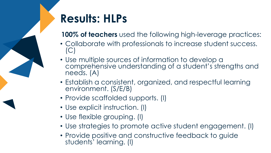### **Results: HLPs**

**100% of teachers** used the following high-leverage practices:

- Collaborate with professionals to increase student success. (C)
- Use multiple sources of information to develop a comprehensive understanding of a student's strengths and needs. (A)
- Establish a consistent, organized, and respectful learning environment. (S/E/B)
- Provide scaffolded supports. (I)
- Use explicit instruction. (I)
- Use flexible grouping. (I)
- Use strategies to promote active student engagement. (I)
- Provide positive and constructive feedback to guide students' learning. (I)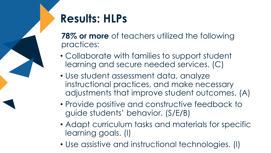### **Results: HLPs**

**78% or more** of teachers utilized the following practices:

- Collaborate with families to support student learning and secure needed services. (C)
- Use student assessment data, analyze instructional practices, and make necessary adjustments that improve student outcomes. (A)
- Provide positive and constructive feedback to guide students' behavior. (S/E/B)
- Adapt curriculum tasks and materials for specific learning goals. (I)
- Use assistive and instructional technologies. (I)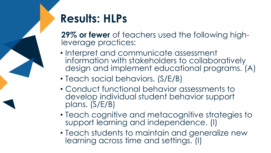#### **Results: HLPs**

**29% or fewer** of teachers used the following highleverage practices:

- Interpret and communicate assessment information with stakeholders to collaboratively design and implement educational programs. (A)
- Teach social behaviors. (S/E/B)
- Conduct functional behavior assessments to develop individual student behavior support plans. (S/E/B)
- Teach cognitive and metacognitive strategies to support learning and independence. (I)
- Teach students to maintain and generalize new learning across time and settings. (I)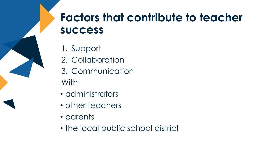#### **Factors that contribute to teacher success**

- 1. Support
- 2. Collaboration
- 3. Communication With
- administrators
- other teachers
- parents
- the local public school district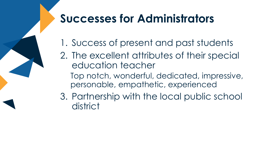#### **Successes for Administrators**

- 1. Success of present and past students
- 2. The excellent attributes of their special education teacher
	- Top notch, wonderful, dedicated, impressive, personable, empathetic, experienced
- 3. Partnership with the local public school district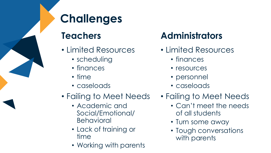

### **Challenges**

#### **Teachers**

- Limited Resources
	- scheduling
	- finances
	- time
	- caseloads
- Failing to Meet Needs
	- Academic and Social/Emotional/ Behavioral
	- Lack of training or time
	- Working with parents

#### **Administrators**

- Limited Resources
	- finances
	- resources
	- personnel
	- caseloads
- Failing to Meet Needs
	- Can't meet the needs of all students
	- Turn some away
	- Tough conversations with parents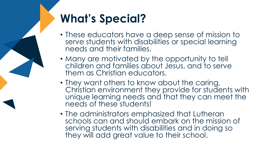## **What's Special?**

- These educators have a deep sense of mission to serve students with disabilities or special learning needs and their families.
- Many are motivated by the opportunity to tell children and families about Jesus, and to serve them as Christian educators.
- They want others to know about the caring, Christian environment they provide for students with unique learning needs and that they can meet the needs of these students!
- The administrators emphasized that Lutheran schools can and should embark on the mission of serving students with disabilities and in doing so they will add great value to their school.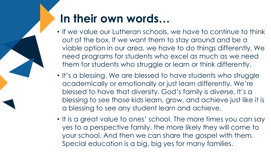### **In their own words…**

- If we value our Lutheran schools, we have to continue to think out of the box. If we want them to stay around and be a viable option in our area, we have to do things differently. We need programs for students who excel as much as we need them for students who struggle or learn or think differently.
- It's a blessing. We are blessed to have students who struggle academically or emotionally or just learn differently. We're blessed to have that diversity. God's family is diverse. It's a blessing to see those kids learn, grow, and achieve just like it is a blessing to see any student learn and achieve.
- It is a great value to ones' school. The more times you can say yes to a perspective family, the more likely they will come to your school. And then we can share the gospel with them*.* Special education is a big, big yes for many families.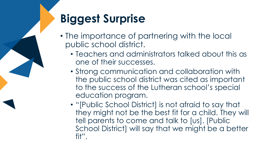## **Biggest Surprise**

- The importance of partnering with the local public school district.
	- Teachers and administrators talked about this as one of their successes.
	- Strong communication and collaboration with the public school district was cited as important to the success of the Lutheran school's special education program.
	- "[Public School District] is not afraid to say that they might not be the best fit for a child. They will tell parents to come and talk to [us]. [Public School District] will say that we might be a better fit".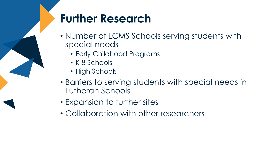### **Further Research**

- Number of LCMS Schools serving students with special needs
	- Early Childhood Programs
	- K-8 Schools
	- High Schools
- Barriers to serving students with special needs in Lutheran Schools
- Expansion to further sites
- Collaboration with other researchers